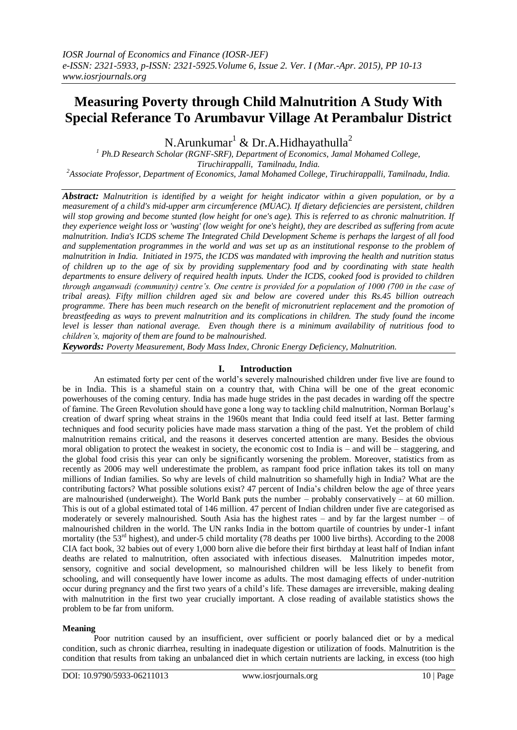# **Measuring Poverty through Child Malnutrition A Study With Special Referance To Arumbavur Village At Perambalur District**

N.Arunkumar<sup>1</sup> & Dr.A.Hidhayathulla<sup>2</sup>

*<sup>1</sup> Ph.D Research Scholar (RGNF-SRF), Department of Economics, Jamal Mohamed College, Tiruchirappalli, Tamilnadu, India. <sup>2</sup>Associate Professor, Department of Economics, Jamal Mohamed College, Tiruchirappalli, Tamilnadu, India.* 

*Abstract: Malnutrition is identified by a weight for height indicator within a given population, or by a measurement of a child's mid-upper arm circumference (MUAC). If dietary deficiencies are persistent, children*  will stop growing and become stunted (low height for one's age). This is referred to as chronic malnutrition. If *they experience weight loss or 'wasting' (low weight for one's height), they are described as suffering from acute malnutrition. India's ICDS scheme The Integrated Child Development Scheme is perhaps the largest of all food and supplementation programmes in the world and was set up as an institutional response to the problem of malnutrition in India. Initiated in 1975, the ICDS was mandated with improving the health and nutrition status of children up to the age of six by providing supplementary food and by coordinating with state health departments to ensure delivery of required health inputs. Under the ICDS, cooked food is provided to children through anganwadi (community) centre's. One centre is provided for a population of 1000 (700 in the case of tribal areas). Fifty million children aged six and below are covered under this Rs.45 billion outreach programme. There has been much research on the benefit of micronutrient replacement and the promotion of breastfeeding as ways to prevent malnutrition and its complications in children. The study found the income level is lesser than national average. Even though there is a minimum availability of nutritious food to children's, majority of them are found to be malnourished.*

*Keywords: Poverty Measurement, Body Mass Index, Chronic Energy Deficiency, Malnutrition.*

# **I. Introduction**

An estimated forty per cent of the world's severely malnourished children under five live are found to be in India. This is a shameful stain on a country that, with China will be one of the great economic powerhouses of the coming century. India has made huge strides in the past decades in warding off the spectre of famine. The Green Revolution should have gone a long way to tackling child malnutrition, Norman Borlaug's creation of dwarf spring wheat strains in the 1960s meant that India could feed itself at last. Better farming techniques and food security policies have made mass starvation a thing of the past. Yet the problem of child malnutrition remains critical, and the reasons it deserves concerted attention are many. Besides the obvious moral obligation to protect the weakest in society, the economic cost to India is – and will be – staggering, and the global food crisis this year can only be significantly worsening the problem. Moreover, statistics from as recently as 2006 may well underestimate the problem, as rampant food price inflation takes its toll on many millions of Indian families. So why are levels of child malnutrition so shamefully high in India? What are the contributing factors? What possible solutions exist? 47 percent of India's children below the age of three years are malnourished (underweight). The World Bank puts the number – probably conservatively – at 60 million. This is out of a global estimated total of 146 million. 47 percent of Indian children under five are categorised as moderately or severely malnourished. South Asia has the highest rates – and by far the largest number – of malnourished children in the world. The UN ranks India in the bottom quartile of countries by under-1 infant mortality (the  $53<sup>rd</sup>$  highest), and under-5 child mortality (78 deaths per 1000 live births). According to the 2008 CIA fact book, 32 babies out of every 1,000 born alive die before their first birthday at least half of Indian infant deaths are related to malnutrition, often associated with infectious diseases. Malnutrition impedes motor, sensory, cognitive and social development, so malnourished children will be less likely to benefit from schooling, and will consequently have lower income as adults. The most damaging effects of under-nutrition occur during pregnancy and the first two years of a child's life. These damages are irreversible, making dealing with malnutrition in the first two year crucially important. A close reading of available statistics shows the problem to be far from uniform.

# **Meaning**

Poor nutrition caused by an insufficient, over sufficient or poorly balanced diet or by a medical condition, such as chronic diarrhea, resulting in inadequate digestion or utilization of foods. Malnutrition is the condition that results from taking an unbalanced diet in which certain nutrients are lacking, in excess (too high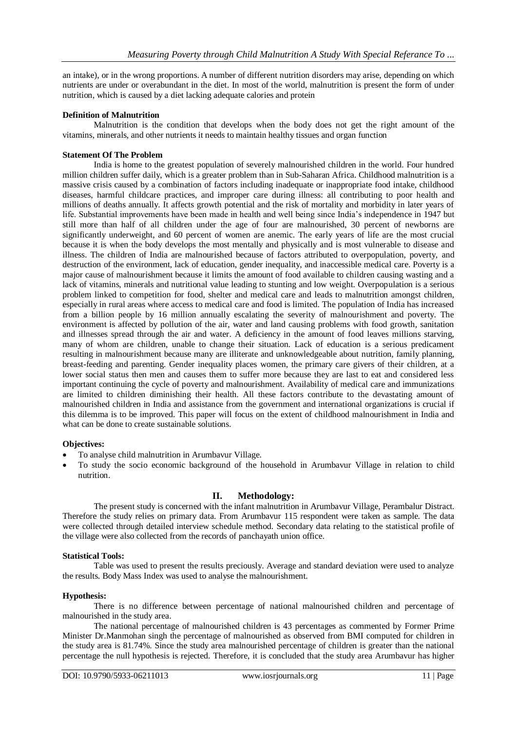an intake), or in the wrong proportions. A number of different nutrition disorders may arise, depending on which nutrients are under or overabundant in the diet. In most of the world, malnutrition is present the form of under nutrition, which is caused by a diet lacking adequate calories and protein

# **Definition of Malnutrition**

Malnutrition is the condition that develops when the body does not get the right amount of the vitamins, minerals, and other nutrients it needs to maintain healthy tissues and organ function

# **Statement Of The Problem**

India is home to the greatest population of severely malnourished children in the world. Four hundred million children suffer daily, which is a greater problem than in Sub-Saharan Africa. Childhood malnutrition is a massive crisis caused by a combination of factors including inadequate or inappropriate food intake, childhood diseases, harmful childcare practices, and improper care during illness: all contributing to poor health and millions of deaths annually. It affects growth potential and the risk of mortality and morbidity in later years of life. Substantial improvements have been made in health and well being since India's independence in 1947 but still more than half of all children under the age of four are malnourished, 30 percent of newborns are significantly underweight, and 60 percent of women are anemic. The early years of life are the most crucial because it is when the body develops the most mentally and physically and is most vulnerable to disease and illness. The children of India are malnourished because of factors attributed to overpopulation, poverty, and destruction of the environment, lack of education, gender inequality, and inaccessible medical care. Poverty is a major cause of malnourishment because it limits the amount of food available to children causing wasting and a lack of vitamins, minerals and nutritional value leading to stunting and low weight. Overpopulation is a serious problem linked to competition for food, shelter and medical care and leads to malnutrition amongst children, especially in rural areas where access to medical care and food is limited. The population of India has increased from a billion people by 16 million annually escalating the severity of malnourishment and poverty. The environment is affected by pollution of the air, water and land causing problems with food growth, sanitation and illnesses spread through the air and water. A deficiency in the amount of food leaves millions starving, many of whom are children, unable to change their situation. Lack of education is a serious predicament resulting in malnourishment because many are illiterate and unknowledgeable about nutrition, family planning, breast-feeding and parenting. Gender inequality places women, the primary care givers of their children, at a lower social status then men and causes them to suffer more because they are last to eat and considered less important continuing the cycle of poverty and malnourishment. Availability of medical care and immunizations are limited to children diminishing their health. All these factors contribute to the devastating amount of malnourished children in India and assistance from the government and international organizations is crucial if this dilemma is to be improved. This paper will focus on the extent of childhood malnourishment in India and what can be done to create sustainable solutions.

# **Objectives:**

- To analyse child malnutrition in Arumbavur Village.
- To study the socio economic background of the household in Arumbavur Village in relation to child nutrition.

# **II. Methodology:**

The present study is concerned with the infant malnutrition in Arumbavur Village, Perambalur Distract. Therefore the study relies on primary data. From Arumbavur 115 respondent were taken as sample. The data were collected through detailed interview schedule method. Secondary data relating to the statistical profile of the village were also collected from the records of panchayath union office.

# **Statistical Tools:**

Table was used to present the results preciously. Average and standard deviation were used to analyze the results. Body Mass Index was used to analyse the malnourishment.

# **Hypothesis:**

There is no difference between percentage of national malnourished children and percentage of malnourished in the study area.

The national percentage of malnourished children is 43 percentages as commented by Former Prime Minister Dr.Manmohan singh the percentage of malnourished as observed from BMI computed for children in the study area is 81.74%. Since the study area malnourished percentage of children is greater than the national percentage the null hypothesis is rejected. Therefore, it is concluded that the study area Arumbavur has higher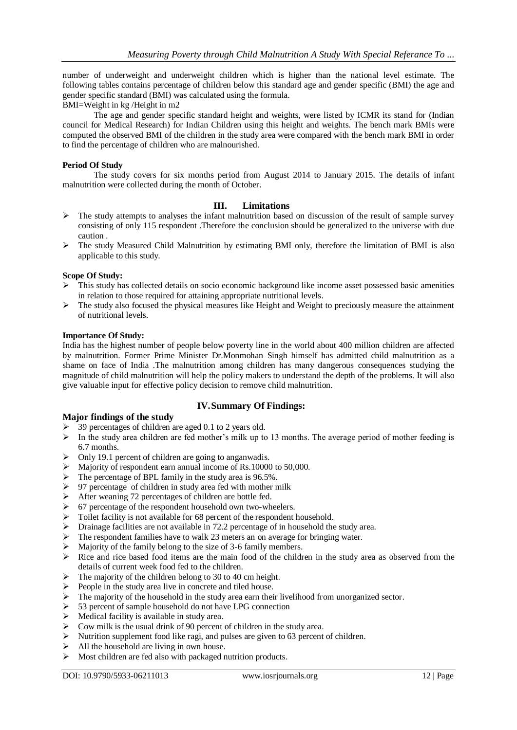number of underweight and underweight children which is higher than the national level estimate. The following tables contains percentage of children below this standard age and gender specific (BMI) the age and gender specific standard (BMI) was calculated using the formula.

BMI=Weight in kg /Height in m2

The age and gender specific standard height and weights, were listed by ICMR its stand for (Indian council for Medical Research) for Indian Children using this height and weights. The bench mark BMIs were computed the observed BMI of the children in the study area were compared with the bench mark BMI in order to find the percentage of children who are malnourished.

# **Period Of Study**

The study covers for six months period from August 2014 to January 2015. The details of infant malnutrition were collected during the month of October.

# **III. Limitations**

- $\triangleright$  The study attempts to analyses the infant malnutrition based on discussion of the result of sample survey consisting of only 115 respondent .Therefore the conclusion should be generalized to the universe with due caution .
- $\triangleright$  The study Measured Child Malnutrition by estimating BMI only, therefore the limitation of BMI is also applicable to this study.

# **Scope Of Study:**

- $\triangleright$  This study has collected details on socio economic background like income asset possessed basic amenities in relation to those required for attaining appropriate nutritional levels.
- $\triangleright$  The study also focused the physical measures like Height and Weight to preciously measure the attainment of nutritional levels.

# **Importance Of Study:**

India has the highest number of people below poverty line in the world about 400 million children are affected by malnutrition. Former Prime Minister Dr.Monmohan Singh himself has admitted child malnutrition as a shame on face of India .The malnutrition among children has many dangerous consequences studying the magnitude of child malnutrition will help the policy makers to understand the depth of the problems. It will also give valuable input for effective policy decision to remove child malnutrition.

# **IV.Summary Of Findings:**

# **Major findings of the study**

- > 39 percentages of children are aged 0.1 to 2 years old.
- $\triangleright$  In the study area children are fed mother's milk up to 13 months. The average period of mother feeding is 6.7 months.
- $\triangleright$  Only 19.1 percent of children are going to anganwadis.
- $\triangleright$  Majority of respondent earn annual income of Rs.10000 to 50,000.
- $\triangleright$  The percentage of BPL family in the study area is 96.5%.
- $\geq$  97 percentage of children in study area fed with mother milk
- $\triangleright$  After weaning 72 percentages of children are bottle fed.
- $\triangleright$  67 percentage of the respondent household own two-wheelers.
- > Toilet facility is not available for 68 percent of the respondent household.
- $\triangleright$  Drainage facilities are not available in 72.2 percentage of in household the study area.
- $\triangleright$  The respondent families have to walk 23 meters an on average for bringing water.
- $\triangleright$  Majority of the family belong to the size of 3-6 family members.
- $\triangleright$  Rice and rice based food items are the main food of the children in the study area as observed from the details of current week food fed to the children.
- $\triangleright$  The majority of the children belong to 30 to 40 cm height.
- $\triangleright$  People in the study area live in concrete and tiled house.
- $\triangleright$  The majority of the household in the study area earn their livelihood from unorganized sector.
- $\geq$  53 percent of sample household do not have LPG connection
- $\triangleright$  Medical facility is available in study area.
- $\triangleright$  Cow milk is the usual drink of 90 percent of children in the study area.
- $\triangleright$  Nutrition supplement food like ragi, and pulses are given to 63 percent of children.
- $\triangleright$  All the household are living in own house.
- $\triangleright$  Most children are fed also with packaged nutrition products.